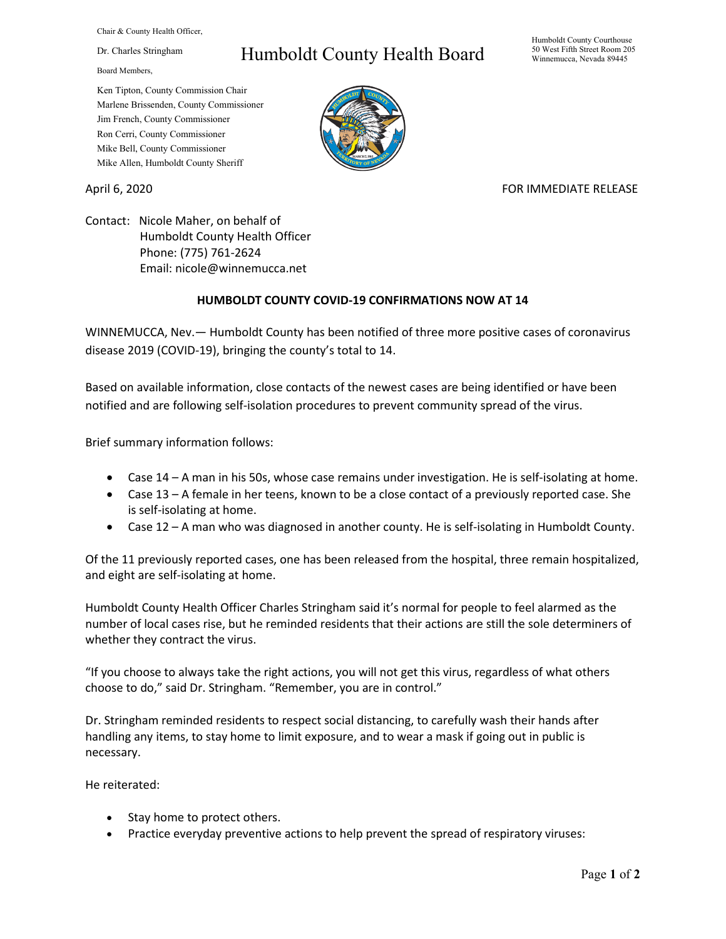Chair & County Health Officer,

Dr. Charles Stringham

Board Members,

## Humboldt County Health Board

Humboldt County Courthouse 50 West Fifth Street Room 205 Winnemucca, Nevada 89445

Ken Tipton, County Commission Chair Marlene Brissenden, County Commissioner Jim French, County Commissioner Ron Cerri, County Commissioner Mike Bell, County Commissioner Mike Allen, Humboldt County Sheriff

## April 6, 2020 **FOR IMMEDIATE RELEASE**

Contact: Nicole Maher, on behalf of Humboldt County Health Officer Phone: (775) 761-2624 Email: nicole@winnemucca.net

## **HUMBOLDT COUNTY COVID-19 CONFIRMATIONS NOW AT 14**

WINNEMUCCA, Nev.— Humboldt County has been notified of three more positive cases of coronavirus disease 2019 (COVID-19), bringing the county's total to 14.

Based on available information, close contacts of the newest cases are being identified or have been notified and are following self-isolation procedures to prevent community spread of the virus.

Brief summary information follows:

- Case 14 A man in his 50s, whose case remains under investigation. He is self-isolating at home.
- Case 13 A female in her teens, known to be a close contact of a previously reported case. She is self-isolating at home.
- Case 12 A man who was diagnosed in another county. He is self-isolating in Humboldt County.

Of the 11 previously reported cases, one has been released from the hospital, three remain hospitalized, and eight are self-isolating at home.

Humboldt County Health Officer Charles Stringham said it's normal for people to feel alarmed as the number of local cases rise, but he reminded residents that their actions are still the sole determiners of whether they contract the virus.

"If you choose to always take the right actions, you will not get this virus, regardless of what others choose to do," said Dr. Stringham. "Remember, you are in control."

Dr. Stringham reminded residents to respect social distancing, to carefully wash their hands after handling any items, to stay home to limit exposure, and to wear a mask if going out in public is necessary.

He reiterated:

- Stay home to protect others.
- Practice everyday preventive actions to help prevent the spread of respiratory viruses: